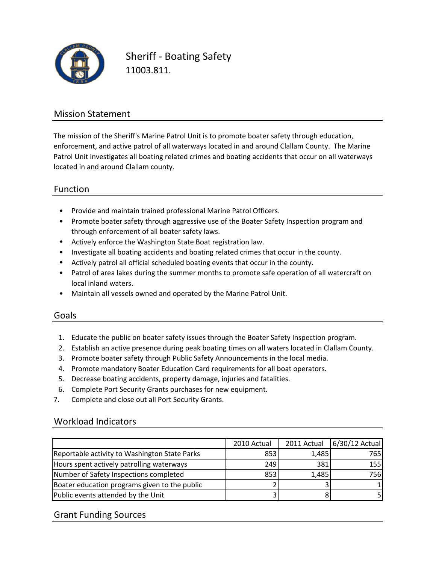

Sheriff ‐ Boating Safety 11003.811.

## Mission Statement

The mission of the Sheriff's Marine Patrol Unit is to promote boater safety through education, enforcement, and active patrol of all waterways located in and around Clallam County. The Marine Patrol Unit investigates all boating related crimes and boating accidents that occur on all waterways located in and around Clallam county.

## Function

- Provide and maintain trained professional Marine Patrol Officers.
- Promote boater safety through aggressive use of the Boater Safety Inspection program and through enforcement of all boater safety laws.
- Actively enforce the Washington State Boat registration law.
- Investigate all boating accidents and boating related crimes that occur in the county.
- Actively patrol all official scheduled boating events that occur in the county.
- Patrol of area lakes during the summer months to promote safe operation of all watercraft on local inland waters.
- Maintain all vessels owned and operated by the Marine Patrol Unit.

### Goals

- 1. Educate the public on boater safety issues through the Boater Safety Inspection program.
- 2. Establish an active presence during peak boating times on all waters located in Clallam County.
- 3. Promote boater safety through Public Safety Announcements in the local media.
- 4. Promote mandatory Boater Education Card requirements for all boat operators.
- 5. Decrease boating accidents, property damage, injuries and fatalities.
- 6. Complete Port Security Grants purchases for new equipment.
- 7. Complete and close out all Port Security Grants.

### Workload Indicators

|                                               | 2010 Actual | 2011 Actual | 6/30/12 Actual |
|-----------------------------------------------|-------------|-------------|----------------|
| Reportable activity to Washington State Parks | 853         | 1,485       | 765            |
| Hours spent actively patrolling waterways     | 2491        | 381         | 155            |
| Number of Safety Inspections completed        | 853         | 1,485       | 756            |
| Boater education programs given to the public |             |             |                |
| Public events attended by the Unit            |             |             |                |

### Grant Funding Sources